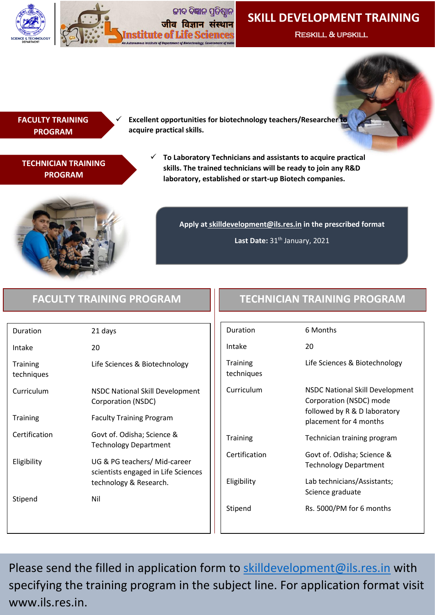



# **SKILL DEVELOPMENT TRAINING**

Reskill & upskill

### **FACULTY TRAINING PROGRAM**

 **Excellent opportunities for biotechnology teachers/Researcher to acquire practical skills.** 

## **TECHNICIAN TRAINING PROGRAM**

 **To Laboratory Technicians and assistants to acquire practical skills. The trained technicians will be ready to join any R&D laboratory, established or start-up Biotech companies.**



**Apply at skilldevelopment@ils.res.in in the prescribed format**

Last Date: 31<sup>th</sup> January, 2021

| Duration                      | 21 days                                                                                       |
|-------------------------------|-----------------------------------------------------------------------------------------------|
| Intake                        | 20                                                                                            |
| <b>Training</b><br>techniques | Life Sciences & Biotechnology                                                                 |
| Curriculum                    | <b>NSDC National Skill Development</b><br>Corporation (NSDC)                                  |
| <b>Training</b>               | <b>Faculty Training Program</b>                                                               |
| Certification                 | Govt of. Odisha; Science &<br><b>Technology Department</b>                                    |
| Eligibility                   | UG & PG teachers/ Mid-career<br>scientists engaged in Life Sciences<br>technology & Research. |
| Stipend                       | Nil                                                                                           |

# **FACULTY TRAINING PROGRAM TECHNICIAN TRAINING PROGRAM**

| Duration                      | 6 Months                                                                                                                    |
|-------------------------------|-----------------------------------------------------------------------------------------------------------------------------|
| Intake                        | 20                                                                                                                          |
| <b>Training</b><br>techniques | Life Sciences & Biotechnology                                                                                               |
| Curriculum                    | <b>NSDC National Skill Development</b><br>Corporation (NSDC) mode<br>followed by R & D laboratory<br>placement for 4 months |
| <b>Training</b>               | Technician training program                                                                                                 |
| Certification                 | Govt of. Odisha; Science &<br><b>Technology Department</b>                                                                  |
| Eligibility                   | Lab technicians/Assistants;<br>Science graduate                                                                             |
| Stipend                       | Rs. 5000/PM for 6 months                                                                                                    |

Please send the filled in application form to [skilldevelopment@ils.res.in](mailto:skilldevelopment@ils.res.in) with specifying the training program in the subject line. For application format visit www.ils.res.in.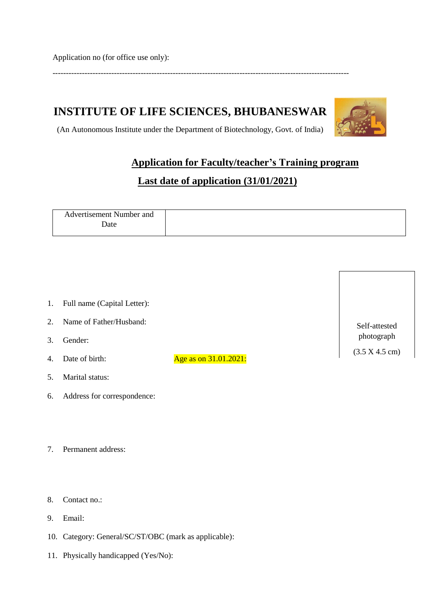Application no (for office use only):

## ---------------------------------------------------------------------------------------------------------------

# **INSTITUTE OF LIFE SCIENCES, BHUBANESWAR**



Self-attested photograph

(3.5 X 4.5 cm)

(An Autonomous Institute under the Department of Biotechnology, Govt. of India)

# **Application for Faculty/teacher's Training program**

# **Last date of application (31/01/2021)**

| Advertisement Number and |
|--------------------------|
| ⊅ate                     |
|                          |

| 1. Full name (Capital Letter): |
|--------------------------------|
|--------------------------------|

- 2. Name of Father/Husband:
- 3. Gender:
- 
- 4. Date of birth:  $\frac{\text{Age as on } 31.01.2021:}{\text{Age as on } 31.01.2021:}$
- 5. Marital status:
- 6. Address for correspondence:
- 7. Permanent address:
- 8. Contact no.:
- 9. Email:
- 10. Category: General/SC/ST/OBC (mark as applicable):
- 11. Physically handicapped (Yes/No):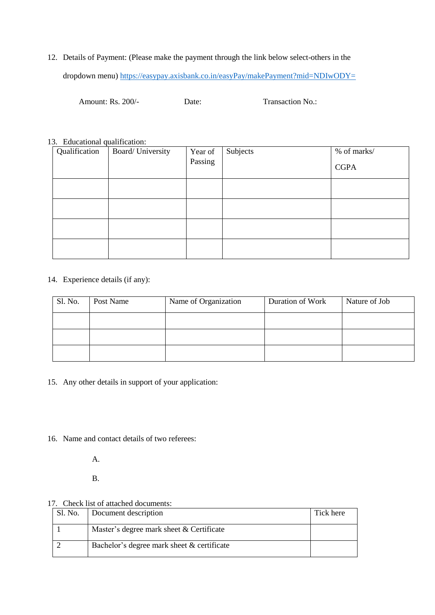12. Details of Payment: (Please make the payment through the link below select-others in the dropdown menu)<https://easypay.axisbank.co.in/easyPay/makePayment?mid=NDIwODY=>

Amount: Rs. 200/-<br>
Date: Transaction No.:

#### 13. Educational qualification:

| Qualification | Board/University | Year of | Subjects | % of marks/ |
|---------------|------------------|---------|----------|-------------|
|               |                  | Passing |          | <b>CGPA</b> |
|               |                  |         |          |             |
|               |                  |         |          |             |
|               |                  |         |          |             |
|               |                  |         |          |             |

#### 14. Experience details (if any):

| Sl. No. | Post Name | Name of Organization | Duration of Work | Nature of Job |
|---------|-----------|----------------------|------------------|---------------|
|         |           |                      |                  |               |
|         |           |                      |                  |               |
|         |           |                      |                  |               |

15. Any other details in support of your application:

16. Name and contact details of two referees:

A.

B.

#### 17. Check list of attached documents:

| Sl. No. Document description               | Tick here |
|--------------------------------------------|-----------|
| Master's degree mark sheet & Certificate   |           |
| Bachelor's degree mark sheet & certificate |           |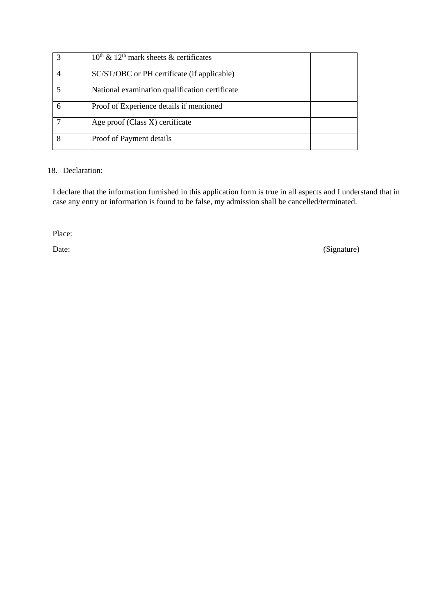| $10^{th}$ & $12^{th}$ mark sheets & certificates |  |
|--------------------------------------------------|--|
| SC/ST/OBC or PH certificate (if applicable)      |  |
| National examination qualification certificate   |  |
| Proof of Experience details if mentioned         |  |
| Age proof (Class X) certificate                  |  |
| Proof of Payment details                         |  |

#### 18. Declaration:

I declare that the information furnished in this application form is true in all aspects and I understand that in case any entry or information is found to be false, my admission shall be cancelled/terminated.

Place:

Date: (Signature)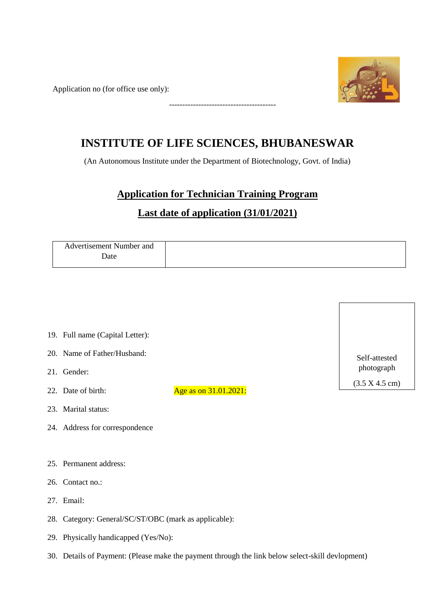Application no (for office use only):

----------------------------------------



# **INSTITUTE OF LIFE SCIENCES, BHUBANESWAR**

(An Autonomous Institute under the Department of Biotechnology, Govt. of India)

# **Application for Technician Training Program**

# **Last date of application (31/01/2021)**

| Advertisement Number and |
|--------------------------|
| Date                     |
|                          |

- 19. Full name (Capital Letter):
- 20. Name of Father/Husband:
- 21. Gender:
- 22. Date of birth:  $\frac{\text{Age as on } 31.01.2021:}{\text{Age as on } 31.01.2021:}$
- 23. Marital status:
- 24. Address for correspondence
- 25. Permanent address:
- 26. Contact no.:
- 27. Email:
- 28. Category: General/SC/ST/OBC (mark as applicable):
- 29. Physically handicapped (Yes/No):
- 30. Details of Payment: (Please make the payment through the link below select-skill devlopment)

Self-attested photograph (3.5 X 4.5 cm)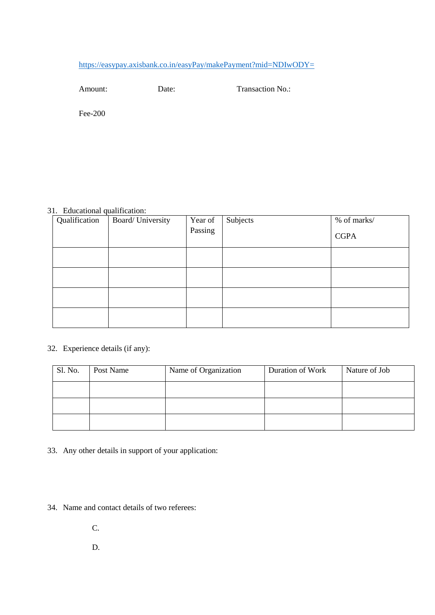## <https://easypay.axisbank.co.in/easyPay/makePayment?mid=NDIwODY=>

Amount: Date: Date: Transaction No.:

Fee-200

### 31. Educational qualification:

| Qualification | Board/University | Year of<br>Passing | Subjects | % of marks/<br><b>CGPA</b> |
|---------------|------------------|--------------------|----------|----------------------------|
|               |                  |                    |          |                            |
|               |                  |                    |          |                            |
|               |                  |                    |          |                            |
|               |                  |                    |          |                            |

### 32. Experience details (if any):

| Sl. No. | Post Name | Name of Organization | Duration of Work | Nature of Job |
|---------|-----------|----------------------|------------------|---------------|
|         |           |                      |                  |               |
|         |           |                      |                  |               |
|         |           |                      |                  |               |

33. Any other details in support of your application:

34. Name and contact details of two referees:

C.

D.